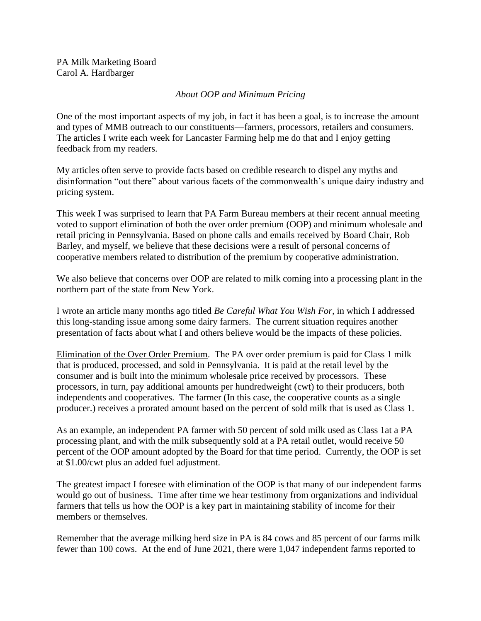PA Milk Marketing Board Carol A. Hardbarger

## *About OOP and Minimum Pricing*

One of the most important aspects of my job, in fact it has been a goal, is to increase the amount and types of MMB outreach to our constituents—farmers, processors, retailers and consumers. The articles I write each week for Lancaster Farming help me do that and I enjoy getting feedback from my readers.

My articles often serve to provide facts based on credible research to dispel any myths and disinformation "out there" about various facets of the commonwealth's unique dairy industry and pricing system.

This week I was surprised to learn that PA Farm Bureau members at their recent annual meeting voted to support elimination of both the over order premium (OOP) and minimum wholesale and retail pricing in Pennsylvania. Based on phone calls and emails received by Board Chair, Rob Barley, and myself, we believe that these decisions were a result of personal concerns of cooperative members related to distribution of the premium by cooperative administration.

We also believe that concerns over OOP are related to milk coming into a processing plant in the northern part of the state from New York.

I wrote an article many months ago titled *Be Careful What You Wish For,* in which I addressed this long-standing issue among some dairy farmers. The current situation requires another presentation of facts about what I and others believe would be the impacts of these policies.

Elimination of the Over Order Premium. The PA over order premium is paid for Class 1 milk that is produced, processed, and sold in Pennsylvania. It is paid at the retail level by the consumer and is built into the minimum wholesale price received by processors. These processors, in turn, pay additional amounts per hundredweight (cwt) to their producers, both independents and cooperatives. The farmer (In this case, the cooperative counts as a single producer.) receives a prorated amount based on the percent of sold milk that is used as Class 1.

As an example, an independent PA farmer with 50 percent of sold milk used as Class 1at a PA processing plant, and with the milk subsequently sold at a PA retail outlet, would receive 50 percent of the OOP amount adopted by the Board for that time period. Currently, the OOP is set at \$1.00/cwt plus an added fuel adjustment.

The greatest impact I foresee with elimination of the OOP is that many of our independent farms would go out of business. Time after time we hear testimony from organizations and individual farmers that tells us how the OOP is a key part in maintaining stability of income for their members or themselves.

Remember that the average milking herd size in PA is 84 cows and 85 percent of our farms milk fewer than 100 cows. At the end of June 2021, there were 1,047 independent farms reported to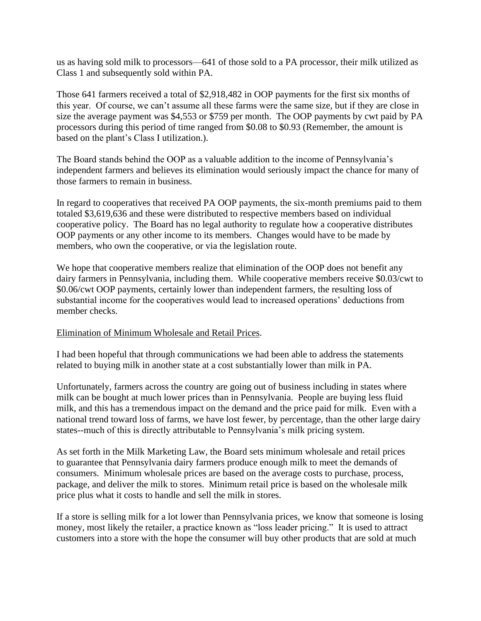us as having sold milk to processors—641 of those sold to a PA processor, their milk utilized as Class 1 and subsequently sold within PA.

Those 641 farmers received a total of \$2,918,482 in OOP payments for the first six months of this year. Of course, we can't assume all these farms were the same size, but if they are close in size the average payment was \$4,553 or \$759 per month. The OOP payments by cwt paid by PA processors during this period of time ranged from \$0.08 to \$0.93 (Remember, the amount is based on the plant's Class I utilization.).

The Board stands behind the OOP as a valuable addition to the income of Pennsylvania's independent farmers and believes its elimination would seriously impact the chance for many of those farmers to remain in business.

In regard to cooperatives that received PA OOP payments, the six-month premiums paid to them totaled \$3,619,636 and these were distributed to respective members based on individual cooperative policy. The Board has no legal authority to regulate how a cooperative distributes OOP payments or any other income to its members. Changes would have to be made by members, who own the cooperative, or via the legislation route.

We hope that cooperative members realize that elimination of the OOP does not benefit any dairy farmers in Pennsylvania, including them. While cooperative members receive \$0.03/cwt to \$0.06/cwt OOP payments, certainly lower than independent farmers, the resulting loss of substantial income for the cooperatives would lead to increased operations' deductions from member checks.

## Elimination of Minimum Wholesale and Retail Prices.

I had been hopeful that through communications we had been able to address the statements related to buying milk in another state at a cost substantially lower than milk in PA.

Unfortunately, farmers across the country are going out of business including in states where milk can be bought at much lower prices than in Pennsylvania. People are buying less fluid milk, and this has a tremendous impact on the demand and the price paid for milk. Even with a national trend toward loss of farms, we have lost fewer, by percentage, than the other large dairy states--much of this is directly attributable to Pennsylvania's milk pricing system.

As set forth in the Milk Marketing Law, the Board sets minimum wholesale and retail prices to guarantee that Pennsylvania dairy farmers produce enough milk to meet the demands of consumers. Minimum wholesale prices are based on the average costs to purchase, process, package, and deliver the milk to stores. Minimum retail price is based on the wholesale milk price plus what it costs to handle and sell the milk in stores.

If a store is selling milk for a lot lower than Pennsylvania prices, we know that someone is losing money, most likely the retailer, a practice known as "loss leader pricing." It is used to attract customers into a store with the hope the consumer will buy other products that are sold at much